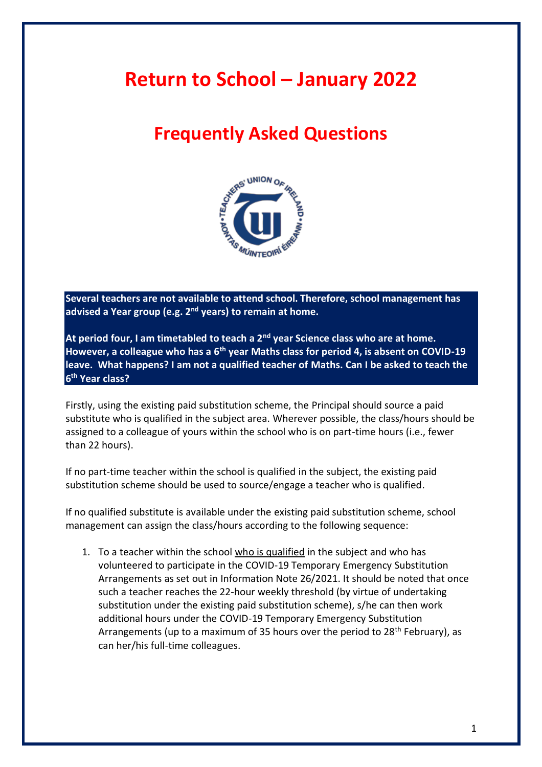# **Return to School – January 2022**

# **Frequently Asked Questions**



**Several teachers are not available to attend school. Therefore, school management has advised a Year group (e.g. 2nd years) to remain at home.** 

**At period four, I am timetabled to teach a 2nd year Science class who are at home. However, a colleague who has a 6th year Maths class for period 4, is absent on COVID-19 leave. What happens? I am not a qualified teacher of Maths. Can I be asked to teach the 6 th Year class?**

Firstly, using the existing paid substitution scheme, the Principal should source a paid substitute who is qualified in the subject area. Wherever possible, the class/hours should be assigned to a colleague of yours within the school who is on part-time hours (i.e., fewer than 22 hours).

If no part-time teacher within the school is qualified in the subject, the existing paid substitution scheme should be used to source/engage a teacher who is qualified.

If no qualified substitute is available under the existing paid substitution scheme, school management can assign the class/hours according to the following sequence:

1. To a teacher within the school who is qualified in the subject and who has volunteered to participate in the COVID-19 Temporary Emergency Substitution Arrangements as set out in Information Note 26/2021. It should be noted that once such a teacher reaches the 22-hour weekly threshold (by virtue of undertaking substitution under the existing paid substitution scheme), s/he can then work additional hours under the COVID-19 Temporary Emergency Substitution Arrangements (up to a maximum of 35 hours over the period to  $28<sup>th</sup>$  February), as can her/his full-time colleagues.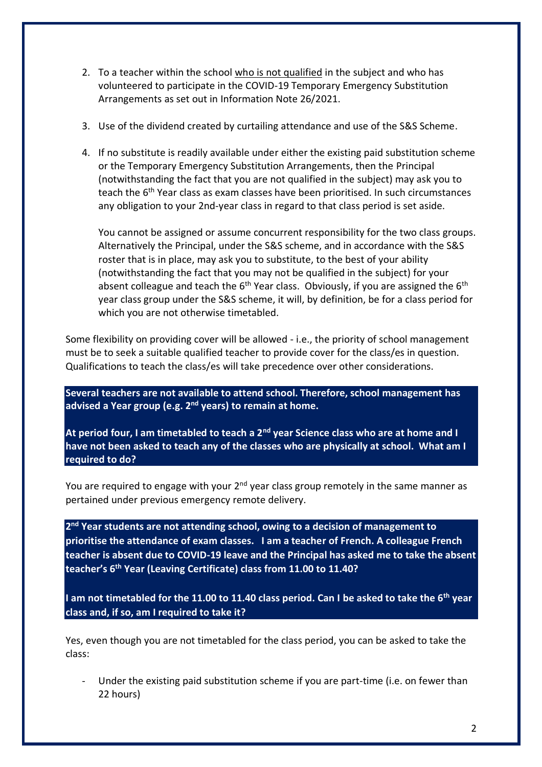- 2. To a teacher within the school who is not qualified in the subject and who has volunteered to participate in the COVID-19 Temporary Emergency Substitution Arrangements as set out in Information Note 26/2021.
- 3. Use of the dividend created by curtailing attendance and use of the S&S Scheme.
- 4. If no substitute is readily available under either the existing paid substitution scheme or the Temporary Emergency Substitution Arrangements, then the Principal (notwithstanding the fact that you are not qualified in the subject) may ask you to teach the 6th Year class as exam classes have been prioritised. In such circumstances any obligation to your 2nd-year class in regard to that class period is set aside.

You cannot be assigned or assume concurrent responsibility for the two class groups. Alternatively the Principal, under the S&S scheme, and in accordance with the S&S roster that is in place, may ask you to substitute, to the best of your ability (notwithstanding the fact that you may not be qualified in the subject) for your absent colleague and teach the  $6<sup>th</sup>$  Year class. Obviously, if you are assigned the  $6<sup>th</sup>$ year class group under the S&S scheme, it will, by definition, be for a class period for which you are not otherwise timetabled.

Some flexibility on providing cover will be allowed - i.e., the priority of school management must be to seek a suitable qualified teacher to provide cover for the class/es in question. Qualifications to teach the class/es will take precedence over other considerations.

**Several teachers are not available to attend school. Therefore, school management has advised a Year group (e.g. 2nd years) to remain at home.** 

**At period four, I am timetabled to teach a 2nd year Science class who are at home and I have not been asked to teach any of the classes who are physically at school. What am I required to do?**

You are required to engage with your  $2<sup>nd</sup>$  year class group remotely in the same manner as pertained under previous emergency remote delivery.

**2 nd Year students are not attending school, owing to a decision of management to prioritise the attendance of exam classes. I am a teacher of French. A colleague French teacher is absent due to COVID-19 leave and the Principal has asked me to take the absent teacher's 6th Year (Leaving Certificate) class from 11.00 to 11.40?** 

**I am not timetabled for the 11.00 to 11.40 class period. Can I be asked to take the 6th year class and, if so, am I required to take it?**

Yes, even though you are not timetabled for the class period, you can be asked to take the class:

Under the existing paid substitution scheme if you are part-time (i.e. on fewer than 22 hours)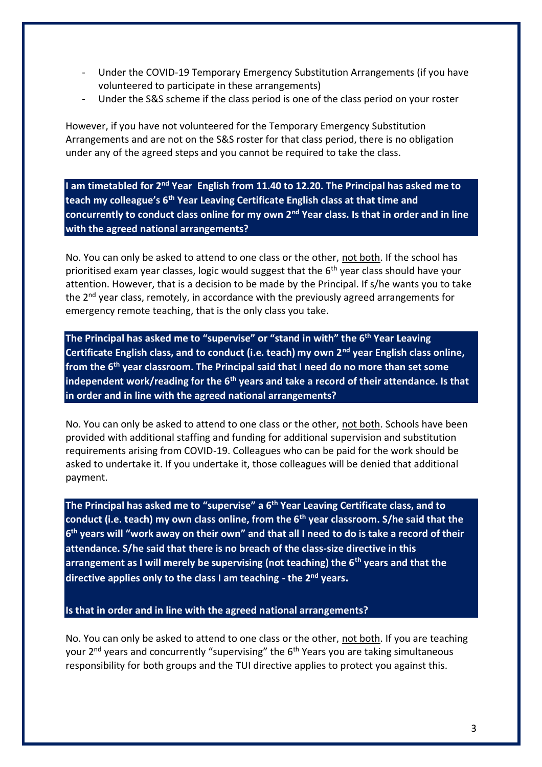- Under the COVID-19 Temporary Emergency Substitution Arrangements (if you have volunteered to participate in these arrangements)
- Under the S&S scheme if the class period is one of the class period on your roster

However, if you have not volunteered for the Temporary Emergency Substitution Arrangements and are not on the S&S roster for that class period, there is no obligation under any of the agreed steps and you cannot be required to take the class.

**I am timetabled for 2nd Year English from 11.40 to 12.20. The Principal has asked me to teach my colleague's 6th Year Leaving Certificate English class at that time and concurrently to conduct class online for my own 2nd Year class. Is that in order and in line with the agreed national arrangements?**

No. You can only be asked to attend to one class or the other, not both. If the school has prioritised exam year classes, logic would suggest that the  $6<sup>th</sup>$  year class should have your attention. However, that is a decision to be made by the Principal. If s/he wants you to take the 2<sup>nd</sup> year class, remotely, in accordance with the previously agreed arrangements for emergency remote teaching, that is the only class you take.

**The Principal has asked me to "supervise" or "stand in with" the 6th Year Leaving Certificate English class, and to conduct (i.e. teach) my own 2nd year English class online, from the 6th year classroom. The Principal said that I need do no more than set some independent work/reading for the 6th years and take a record of their attendance. Is that in order and in line with the agreed national arrangements?**

No. You can only be asked to attend to one class or the other, not both. Schools have been provided with additional staffing and funding for additional supervision and substitution requirements arising from COVID-19. Colleagues who can be paid for the work should be asked to undertake it. If you undertake it, those colleagues will be denied that additional payment.

**The Principal has asked me to "supervise" a 6th Year Leaving Certificate class, and to conduct (i.e. teach) my own class online, from the 6th year classroom. S/he said that the 6 th years will "work away on their own" and that all I need to do is take a record of their attendance. S/he said that there is no breach of the class-size directive in this arrangement as I will merely be supervising (not teaching) the 6th years and that the directive applies only to the class I am teaching - the 2nd years.**

**Is that in order and in line with the agreed national arrangements?**

No. You can only be asked to attend to one class or the other, not both. If you are teaching your 2<sup>nd</sup> years and concurrently "supervising" the 6<sup>th</sup> Years you are taking simultaneous responsibility for both groups and the TUI directive applies to protect you against this.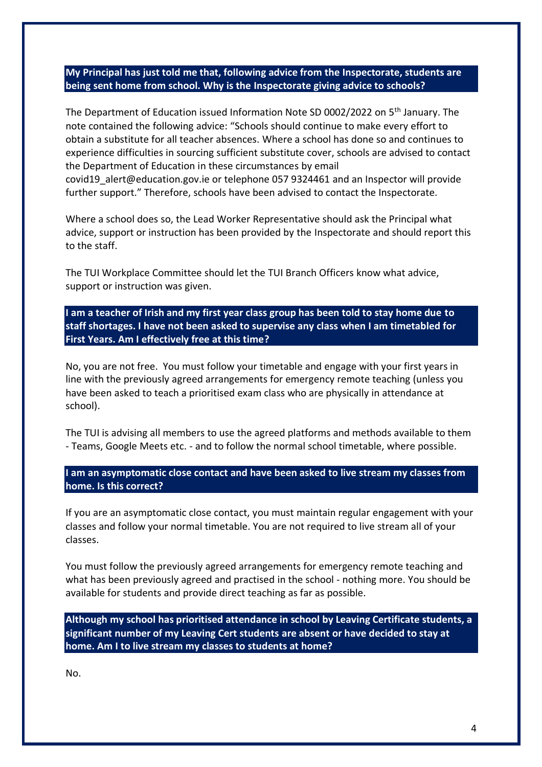## **My Principal has just told me that, following advice from the Inspectorate, students are being sent home from school. Why is the Inspectorate giving advice to schools?**

The Department of Education issued Information Note SD 0002/2022 on 5th January. The note contained the following advice: "Schools should continue to make every effort to obtain a substitute for all teacher absences. Where a school has done so and continues to experience difficulties in sourcing sufficient substitute cover, schools are advised to contact the Department of Education in these circumstances by email covid19\_alert@education.gov.ie or telephone 057 9324461 and an Inspector will provide

further support." Therefore, schools have been advised to contact the Inspectorate.

Where a school does so, the Lead Worker Representative should ask the Principal what advice, support or instruction has been provided by the Inspectorate and should report this to the staff.

The TUI Workplace Committee should let the TUI Branch Officers know what advice, support or instruction was given.

**I am a teacher of Irish and my first year class group has been told to stay home due to staff shortages. I have not been asked to supervise any class when I am timetabled for First Years. Am I effectively free at this time?**

No, you are not free. You must follow your timetable and engage with your first years in line with the previously agreed arrangements for emergency remote teaching (unless you have been asked to teach a prioritised exam class who are physically in attendance at school).

The TUI is advising all members to use the agreed platforms and methods available to them - Teams, Google Meets etc. - and to follow the normal school timetable, where possible.

## **I am an asymptomatic close contact and have been asked to live stream my classes from home. Is this correct?**

If you are an asymptomatic close contact, you must maintain regular engagement with your classes and follow your normal timetable. You are not required to live stream all of your classes.

You must follow the previously agreed arrangements for emergency remote teaching and what has been previously agreed and practised in the school - nothing more. You should be available for students and provide direct teaching as far as possible.

**Although my school has prioritised attendance in school by Leaving Certificate students, a significant number of my Leaving Cert students are absent or have decided to stay at home. Am I to live stream my classes to students at home?**

No.